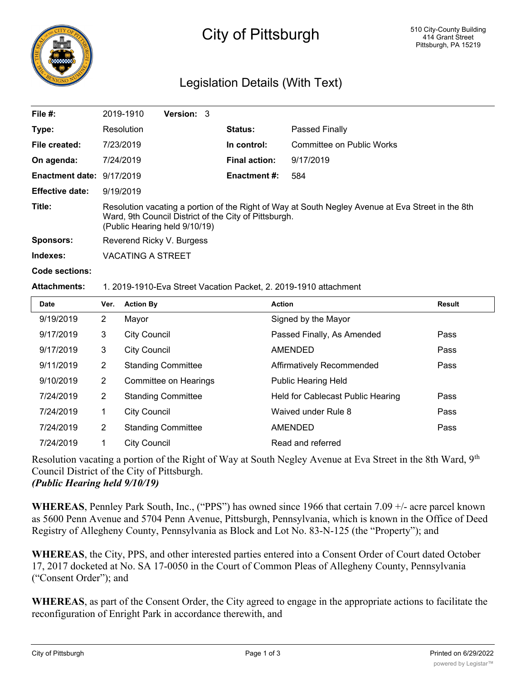

# City of Pittsburgh

## Legislation Details (With Text)

| File $#$ :                | 2019-1910                                                                                                                                                                                   | Version: 3 |                      |                           |  |  |
|---------------------------|---------------------------------------------------------------------------------------------------------------------------------------------------------------------------------------------|------------|----------------------|---------------------------|--|--|
| Type:                     | Resolution                                                                                                                                                                                  |            | <b>Status:</b>       | Passed Finally            |  |  |
| File created:             | 7/23/2019                                                                                                                                                                                   |            | In control:          | Committee on Public Works |  |  |
| On agenda:                | 7/24/2019                                                                                                                                                                                   |            | <b>Final action:</b> | 9/17/2019                 |  |  |
| Enactment date: 9/17/2019 |                                                                                                                                                                                             |            | <b>Enactment #:</b>  | 584                       |  |  |
| <b>Effective date:</b>    | 9/19/2019                                                                                                                                                                                   |            |                      |                           |  |  |
| Title:                    | Resolution vacating a portion of the Right of Way at South Negley Avenue at Eva Street in the 8th<br>Ward, 9th Council District of the City of Pittsburgh.<br>(Public Hearing held 9/10/19) |            |                      |                           |  |  |
| Sponsors:                 | Reverend Ricky V. Burgess                                                                                                                                                                   |            |                      |                           |  |  |
| Indexes:                  | VACATING A STREET                                                                                                                                                                           |            |                      |                           |  |  |

**Code sections:**

#### **Attachments:** 1. 2019-1910-Eva Street Vacation Packet, 2. 2019-1910 attachment

| Date      | Ver.           | <b>Action By</b>          | <b>Action</b>                     | <b>Result</b> |
|-----------|----------------|---------------------------|-----------------------------------|---------------|
| 9/19/2019 | $\overline{2}$ | Mayor                     | Signed by the Mayor               |               |
| 9/17/2019 | 3              | <b>City Council</b>       | Passed Finally, As Amended        | Pass          |
| 9/17/2019 | 3              | <b>City Council</b>       | AMENDED                           | Pass          |
| 9/11/2019 | 2              | <b>Standing Committee</b> | Affirmatively Recommended         | Pass          |
| 9/10/2019 | $\overline{2}$ | Committee on Hearings     | <b>Public Hearing Held</b>        |               |
| 7/24/2019 | $\overline{2}$ | <b>Standing Committee</b> | Held for Cablecast Public Hearing | Pass          |
| 7/24/2019 | 1              | <b>City Council</b>       | Waived under Rule 8               | Pass          |
| 7/24/2019 | $\overline{2}$ | <b>Standing Committee</b> | <b>AMENDED</b>                    | Pass          |
| 7/24/2019 |                | City Council              | Read and referred                 |               |

Resolution vacating a portion of the Right of Way at South Negley Avenue at Eva Street in the 8th Ward, 9<sup>th</sup> Council District of the City of Pittsburgh. *(Public Hearing held 9/10/19)*

**WHEREAS**, Pennley Park South, Inc., ("PPS") has owned since 1966 that certain 7.09 +/- acre parcel known as 5600 Penn Avenue and 5704 Penn Avenue, Pittsburgh, Pennsylvania, which is known in the Office of Deed Registry of Allegheny County, Pennsylvania as Block and Lot No. 83-N-125 (the "Property"); and

**WHEREAS**, the City, PPS, and other interested parties entered into a Consent Order of Court dated October 17, 2017 docketed at No. SA 17-0050 in the Court of Common Pleas of Allegheny County, Pennsylvania ("Consent Order"); and

**WHEREAS**, as part of the Consent Order, the City agreed to engage in the appropriate actions to facilitate the reconfiguration of Enright Park in accordance therewith, and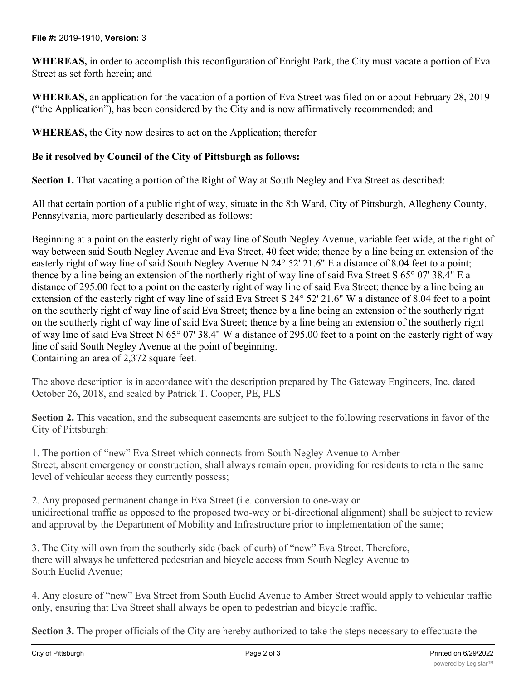**WHEREAS,** in order to accomplish this reconfiguration of Enright Park, the City must vacate a portion of Eva Street as set forth herein; and

**WHEREAS,** an application for the vacation of a portion of Eva Street was filed on or about February 28, 2019 ("the Application"), has been considered by the City and is now affirmatively recommended; and

**WHEREAS,** the City now desires to act on the Application; therefor

### **Be it resolved by Council of the City of Pittsburgh as follows:**

**Section 1.** That vacating a portion of the Right of Way at South Negley and Eva Street as described:

All that certain portion of a public right of way, situate in the 8th Ward, City of Pittsburgh, Allegheny County, Pennsylvania, more particularly described as follows:

Beginning at a point on the easterly right of way line of South Negley Avenue, variable feet wide, at the right of way between said South Negley Avenue and Eva Street, 40 feet wide; thence by a line being an extension of the easterly right of way line of said South Negley Avenue N 24° 52' 21.6" E a distance of 8.04 feet to a point; thence by a line being an extension of the northerly right of way line of said Eva Street S 65° 07' 38.4" E a distance of 295.00 feet to a point on the easterly right of way line of said Eva Street; thence by a line being an extension of the easterly right of way line of said Eva Street S 24° 52' 21.6" W a distance of 8.04 feet to a point on the southerly right of way line of said Eva Street; thence by a line being an extension of the southerly right on the southerly right of way line of said Eva Street; thence by a line being an extension of the southerly right of way line of said Eva Street N 65° 07' 38.4" W a distance of 295.00 feet to a point on the easterly right of way line of said South Negley Avenue at the point of beginning. Containing an area of 2,372 square feet.

The above description is in accordance with the description prepared by The Gateway Engineers, Inc. dated October 26, 2018, and sealed by Patrick T. Cooper, PE, PLS

**Section 2.** This vacation, and the subsequent easements are subject to the following reservations in favor of the City of Pittsburgh:

1. The portion of "new" Eva Street which connects from South Negley Avenue to Amber Street, absent emergency or construction, shall always remain open, providing for residents to retain the same level of vehicular access they currently possess;

2. Any proposed permanent change in Eva Street (i.e. conversion to one-way or unidirectional traffic as opposed to the proposed two-way or bi-directional alignment) shall be subject to review and approval by the Department of Mobility and Infrastructure prior to implementation of the same;

3. The City will own from the southerly side (back of curb) of "new" Eva Street. Therefore, there will always be unfettered pedestrian and bicycle access from South Negley Avenue to South Euclid Avenue;

4. Any closure of "new" Eva Street from South Euclid Avenue to Amber Street would apply to vehicular traffic only, ensuring that Eva Street shall always be open to pedestrian and bicycle traffic.

**Section 3.** The proper officials of the City are hereby authorized to take the steps necessary to effectuate the